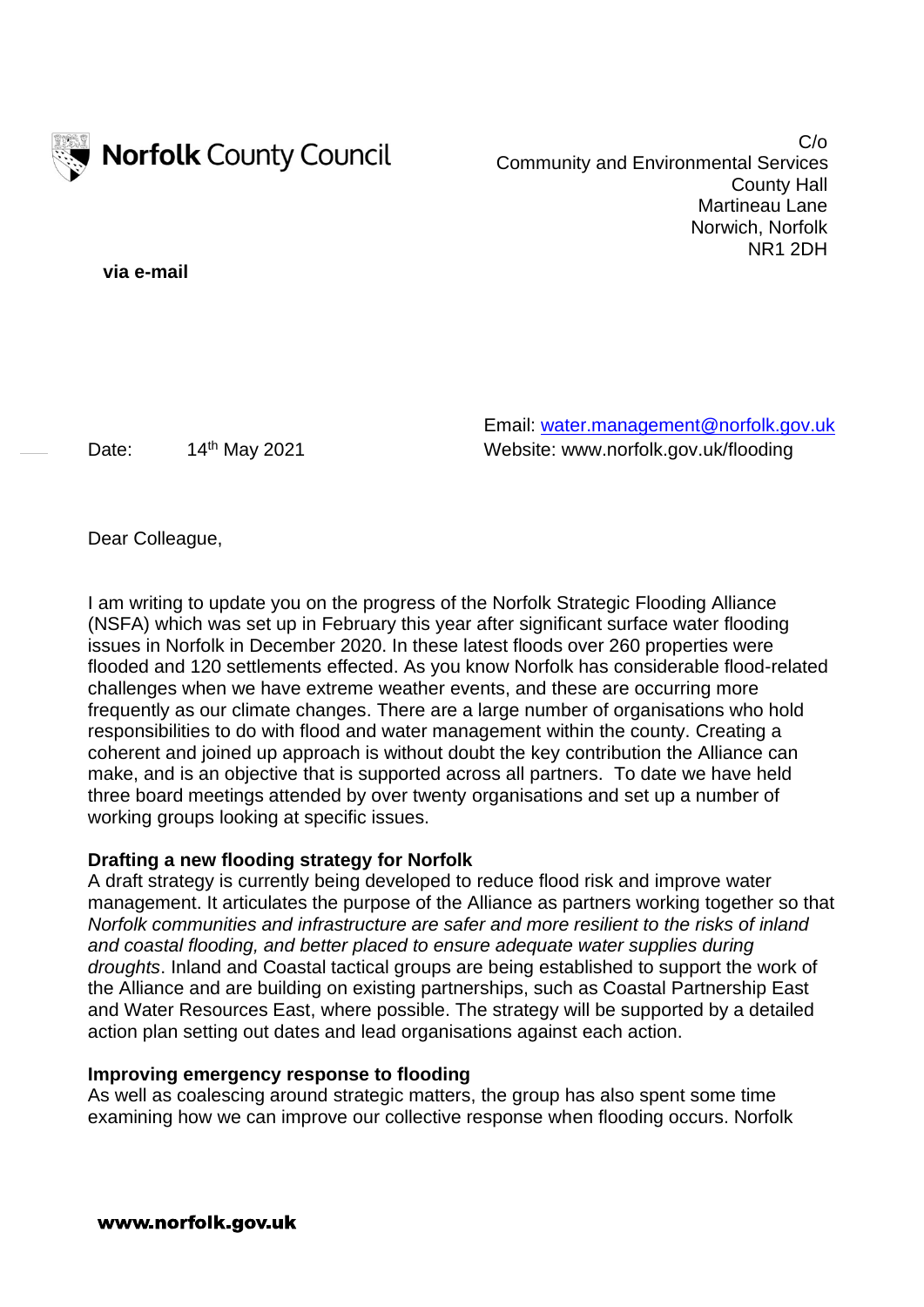

C/o Community and Environmental Services County Hall Martineau Lane Norwich, Norfolk NR1 2DH

**via e-mail**

Email: [water.management@norfolk.gov.uk](mailto:water.management@norfolk.gov.uk) Date: 14<sup>th</sup> May 2021 Website: www.norfolk.gov.uk/flooding

Dear Colleague,

I am writing to update you on the progress of the Norfolk Strategic Flooding Alliance (NSFA) which was set up in February this year after significant surface water flooding issues in Norfolk in December 2020. In these latest floods over 260 properties were flooded and 120 settlements effected. As you know Norfolk has considerable flood-related challenges when we have extreme weather events, and these are occurring more frequently as our climate changes. There are a large number of organisations who hold responsibilities to do with flood and water management within the county. Creating a coherent and joined up approach is without doubt the key contribution the Alliance can make, and is an objective that is supported across all partners. To date we have held three board meetings attended by over twenty organisations and set up a number of working groups looking at specific issues.

## **Drafting a new flooding strategy for Norfolk**

A draft strategy is currently being developed to reduce flood risk and improve water management. It articulates the purpose of the Alliance as partners working together so that *Norfolk communities and infrastructure are safer and more resilient to the risks of inland and coastal flooding, and better placed to ensure adequate water supplies during droughts*. Inland and Coastal tactical groups are being established to support the work of the Alliance and are building on existing partnerships, such as Coastal Partnership East and Water Resources East, where possible. The strategy will be supported by a detailed action plan setting out dates and lead organisations against each action.

## **Improving emergency response to flooding**

As well as coalescing around strategic matters, the group has also spent some time examining how we can improve our collective response when flooding occurs. Norfolk